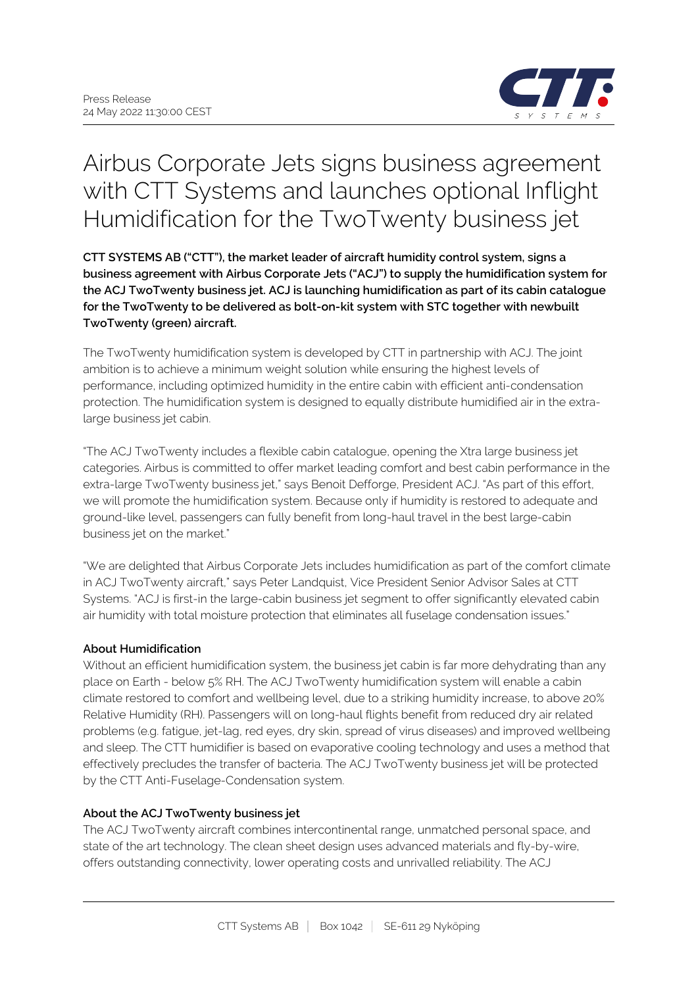

# Airbus Corporate Jets signs business agreement with CTT Systems and launches optional Inflight Humidification for the TwoTwenty business jet

**CTT SYSTEMS AB ("CTT"), the market leader of aircraft humidity control system, signs a business agreement with Airbus Corporate Jets ("ACJ") to supply the humidification system for the ACJ TwoTwenty business jet. ACJ is launching humidification as part of its cabin catalogue for the TwoTwenty to be delivered as bolt-on-kit system with STC together with newbuilt TwoTwenty (green) aircraft.**

The TwoTwenty humidification system is developed by CTT in partnership with ACJ. The joint ambition is to achieve a minimum weight solution while ensuring the highest levels of performance, including optimized humidity in the entire cabin with efficient anti-condensation protection. The humidification system is designed to equally distribute humidified air in the extralarge business jet cabin.

"The ACJ TwoTwenty includes a flexible cabin catalogue, opening the Xtra large business jet categories. Airbus is committed to offer market leading comfort and best cabin performance in the extra-large TwoTwenty business jet," says Benoit Defforge, President ACJ. "As part of this effort, we will promote the humidification system. Because only if humidity is restored to adequate and ground-like level, passengers can fully benefit from long-haul travel in the best large-cabin business jet on the market."

"We are delighted that Airbus Corporate Jets includes humidification as part of the comfort climate in ACJ TwoTwenty aircraft," says Peter Landquist, Vice President Senior Advisor Sales at CTT Systems. "ACJ is first-in the large-cabin business jet segment to offer significantly elevated cabin air humidity with total moisture protection that eliminates all fuselage condensation issues."

## **About Humidification**

Without an efficient humidification system, the business jet cabin is far more dehydrating than any place on Earth - below 5% RH. The ACJ TwoTwenty humidification system will enable a cabin climate restored to comfort and wellbeing level, due to a striking humidity increase, to above 20% Relative Humidity (RH). Passengers will on long-haul flights benefit from reduced dry air related problems (e.g. fatigue, jet-lag, red eyes, dry skin, spread of virus diseases) and improved wellbeing and sleep. The CTT humidifier is based on evaporative cooling technology and uses a method that effectively precludes the transfer of bacteria. The ACJ TwoTwenty business jet will be protected by the CTT Anti-Fuselage-Condensation system.

## **About the ACJ TwoTwenty business jet**

The ACJ TwoTwenty aircraft combines intercontinental range, unmatched personal space, and state of the art technology. The clean sheet design uses advanced materials and fly-by-wire, offers outstanding connectivity, lower operating costs and unrivalled reliability. The ACJ